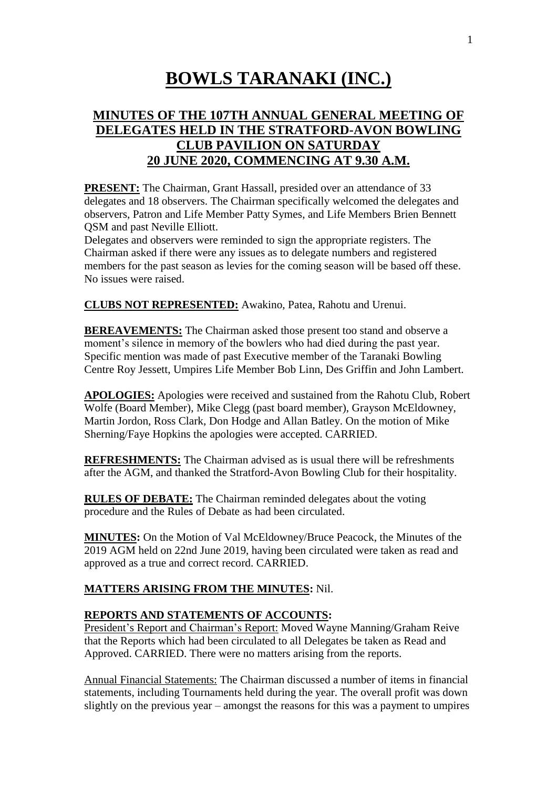# **BOWLS TARANAKI (INC.)**

## **MINUTES OF THE 107TH ANNUAL GENERAL MEETING OF DELEGATES HELD IN THE STRATFORD-AVON BOWLING CLUB PAVILION ON SATURDAY 20 JUNE 2020, COMMENCING AT 9.30 A.M.**

**PRESENT:** The Chairman, Grant Hassall, presided over an attendance of 33 delegates and 18 observers. The Chairman specifically welcomed the delegates and observers, Patron and Life Member Patty Symes, and Life Members Brien Bennett QSM and past Neville Elliott.

Delegates and observers were reminded to sign the appropriate registers. The Chairman asked if there were any issues as to delegate numbers and registered members for the past season as levies for the coming season will be based off these. No issues were raised.

**CLUBS NOT REPRESENTED:** Awakino, Patea, Rahotu and Urenui.

**BEREAVEMENTS:** The Chairman asked those present too stand and observe a moment's silence in memory of the bowlers who had died during the past year. Specific mention was made of past Executive member of the Taranaki Bowling Centre Roy Jessett, Umpires Life Member Bob Linn, Des Griffin and John Lambert.

**APOLOGIES:** Apologies were received and sustained from the Rahotu Club, Robert Wolfe (Board Member), Mike Clegg (past board member), Grayson McEldowney, Martin Jordon, Ross Clark, Don Hodge and Allan Batley. On the motion of Mike Sherning/Faye Hopkins the apologies were accepted. CARRIED.

**REFRESHMENTS:** The Chairman advised as is usual there will be refreshments after the AGM, and thanked the Stratford-Avon Bowling Club for their hospitality.

**RULES OF DEBATE:** The Chairman reminded delegates about the voting procedure and the Rules of Debate as had been circulated.

**MINUTES:** On the Motion of Val McEldowney/Bruce Peacock, the Minutes of the 2019 AGM held on 22nd June 2019, having been circulated were taken as read and approved as a true and correct record. CARRIED.

## **MATTERS ARISING FROM THE MINUTES:** Nil.

## **REPORTS AND STATEMENTS OF ACCOUNTS:**

President's Report and Chairman's Report: Moved Wayne Manning/Graham Reive that the Reports which had been circulated to all Delegates be taken as Read and Approved. CARRIED. There were no matters arising from the reports.

Annual Financial Statements: The Chairman discussed a number of items in financial statements, including Tournaments held during the year. The overall profit was down slightly on the previous year – amongst the reasons for this was a payment to umpires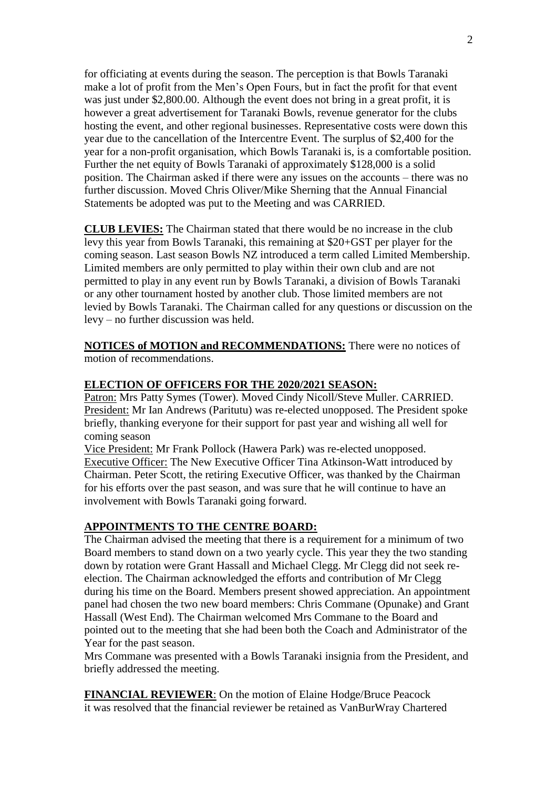for officiating at events during the season. The perception is that Bowls Taranaki make a lot of profit from the Men's Open Fours, but in fact the profit for that event was just under \$2,800.00. Although the event does not bring in a great profit, it is however a great advertisement for Taranaki Bowls, revenue generator for the clubs hosting the event, and other regional businesses. Representative costs were down this year due to the cancellation of the Intercentre Event. The surplus of \$2,400 for the year for a non-profit organisation, which Bowls Taranaki is, is a comfortable position. Further the net equity of Bowls Taranaki of approximately \$128,000 is a solid position. The Chairman asked if there were any issues on the accounts – there was no further discussion. Moved Chris Oliver/Mike Sherning that the Annual Financial Statements be adopted was put to the Meeting and was CARRIED.

**CLUB LEVIES:** The Chairman stated that there would be no increase in the club levy this year from Bowls Taranaki, this remaining at \$20+GST per player for the coming season. Last season Bowls NZ introduced a term called Limited Membership. Limited members are only permitted to play within their own club and are not permitted to play in any event run by Bowls Taranaki, a division of Bowls Taranaki or any other tournament hosted by another club. Those limited members are not levied by Bowls Taranaki. The Chairman called for any questions or discussion on the levy – no further discussion was held.

**NOTICES of MOTION and RECOMMENDATIONS:** There were no notices of motion of recommendations.

## **ELECTION OF OFFICERS FOR THE 2020/2021 SEASON:**

Patron: Mrs Patty Symes (Tower). Moved Cindy Nicoll/Steve Muller. CARRIED. President: Mr Ian Andrews (Paritutu) was re-elected unopposed. The President spoke briefly, thanking everyone for their support for past year and wishing all well for coming season

Vice President: Mr Frank Pollock (Hawera Park) was re-elected unopposed. Executive Officer: The New Executive Officer Tina Atkinson-Watt introduced by Chairman. Peter Scott, the retiring Executive Officer, was thanked by the Chairman for his efforts over the past season, and was sure that he will continue to have an involvement with Bowls Taranaki going forward.

#### **APPOINTMENTS TO THE CENTRE BOARD:**

The Chairman advised the meeting that there is a requirement for a minimum of two Board members to stand down on a two yearly cycle. This year they the two standing down by rotation were Grant Hassall and Michael Clegg. Mr Clegg did not seek reelection. The Chairman acknowledged the efforts and contribution of Mr Clegg during his time on the Board. Members present showed appreciation. An appointment panel had chosen the two new board members: Chris Commane (Opunake) and Grant Hassall (West End). The Chairman welcomed Mrs Commane to the Board and pointed out to the meeting that she had been both the Coach and Administrator of the Year for the past season.

Mrs Commane was presented with a Bowls Taranaki insignia from the President, and briefly addressed the meeting.

**FINANCIAL REVIEWER**: On the motion of Elaine Hodge/Bruce Peacock it was resolved that the financial reviewer be retained as VanBurWray Chartered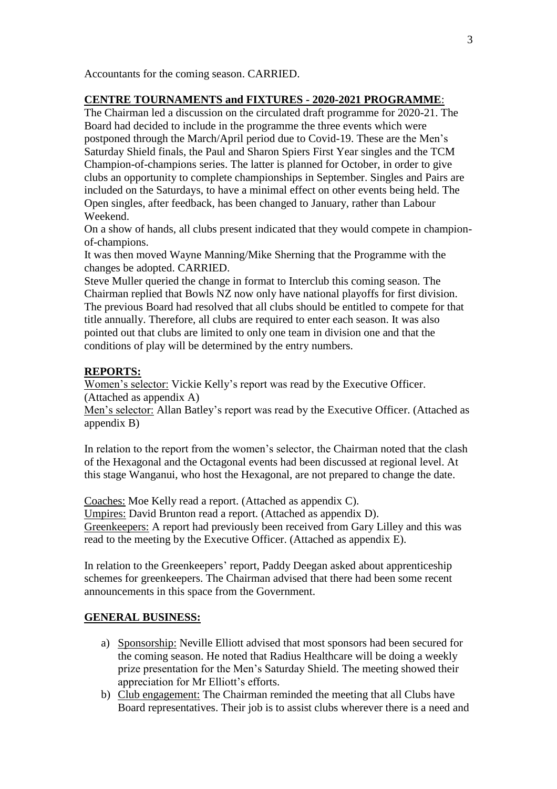Accountants for the coming season. CARRIED.

## **CENTRE TOURNAMENTS and FIXTURES - 2020-2021 PROGRAMME**:

The Chairman led a discussion on the circulated draft programme for 2020-21. The Board had decided to include in the programme the three events which were postponed through the March/April period due to Covid-19. These are the Men's Saturday Shield finals, the Paul and Sharon Spiers First Year singles and the TCM Champion-of-champions series. The latter is planned for October, in order to give clubs an opportunity to complete championships in September. Singles and Pairs are included on the Saturdays, to have a minimal effect on other events being held. The Open singles, after feedback, has been changed to January, rather than Labour Weekend.

On a show of hands, all clubs present indicated that they would compete in championof-champions.

It was then moved Wayne Manning/Mike Sherning that the Programme with the changes be adopted. CARRIED.

Steve Muller queried the change in format to Interclub this coming season. The Chairman replied that Bowls NZ now only have national playoffs for first division. The previous Board had resolved that all clubs should be entitled to compete for that title annually. Therefore, all clubs are required to enter each season. It was also pointed out that clubs are limited to only one team in division one and that the conditions of play will be determined by the entry numbers.

## **REPORTS:**

Women's selector: Vickie Kelly's report was read by the Executive Officer. (Attached as appendix A)

Men's selector: Allan Batley's report was read by the Executive Officer. (Attached as appendix B)

In relation to the report from the women's selector, the Chairman noted that the clash of the Hexagonal and the Octagonal events had been discussed at regional level. At this stage Wanganui, who host the Hexagonal, are not prepared to change the date.

Coaches: Moe Kelly read a report. (Attached as appendix C). Umpires: David Brunton read a report. (Attached as appendix D). Greenkeepers: A report had previously been received from Gary Lilley and this was read to the meeting by the Executive Officer. (Attached as appendix E).

In relation to the Greenkeepers' report, Paddy Deegan asked about apprenticeship schemes for greenkeepers. The Chairman advised that there had been some recent announcements in this space from the Government.

## **GENERAL BUSINESS:**

- a) Sponsorship: Neville Elliott advised that most sponsors had been secured for the coming season. He noted that Radius Healthcare will be doing a weekly prize presentation for the Men's Saturday Shield. The meeting showed their appreciation for Mr Elliott's efforts.
- b) Club engagement: The Chairman reminded the meeting that all Clubs have Board representatives. Their job is to assist clubs wherever there is a need and